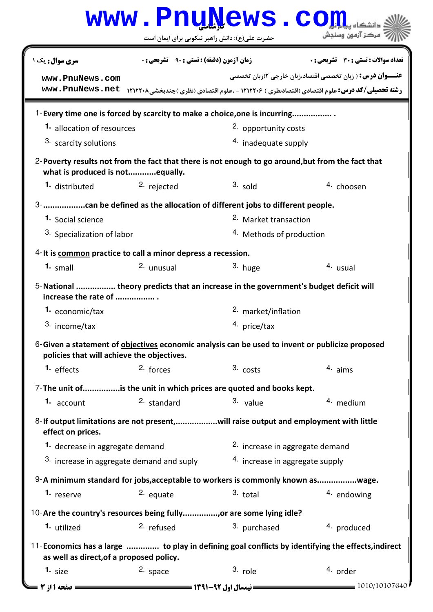|                                                                                                                                               |                                                    | www.PnuNews.co                             |                                                                                                                                                                         |  |  |
|-----------------------------------------------------------------------------------------------------------------------------------------------|----------------------------------------------------|--------------------------------------------|-------------------------------------------------------------------------------------------------------------------------------------------------------------------------|--|--|
|                                                                                                                                               | حضرت علی(ع): دانش راهبر نیکویی برای ایمان است      |                                            | مركز آزمون وسنجش                                                                                                                                                        |  |  |
| سری سوال: یک ۱                                                                                                                                | <b>زمان آزمون (دقیقه) : تستی : 90 ٪ تشریحی : 0</b> |                                            | تعداد سوالات : تستي : 30 - تشريحي : 0                                                                                                                                   |  |  |
| www.PnuNews.com<br>www.PnuNews.net                                                                                                            |                                                    |                                            | <b>عنـــوان درس:</b> ( زبان تخصصي اقتصاد،زبان خارجي ٢(زبان تخصصي<br><b>رشته تحصیلی/کد درس:</b> علوم اقتصادی (اقتصادنظری ) ۱۲۱۲۲۰۶ - ،علوم اقتصادی (نظری )چندبخشی۱۲۱۲۲۰۸ |  |  |
| 1-Every time one is forced by scarcity to make a choice, one is incurring                                                                     |                                                    |                                            |                                                                                                                                                                         |  |  |
| 1. allocation of resources                                                                                                                    |                                                    | <sup>2.</sup> opportunity costs            |                                                                                                                                                                         |  |  |
| 3. scarcity solutions                                                                                                                         |                                                    | 4. inadequate supply                       |                                                                                                                                                                         |  |  |
| 2-Poverty results not from the fact that there is not enough to go around, but from the fact that<br>what is produced is notequally.          |                                                    |                                            |                                                                                                                                                                         |  |  |
| 1. distributed                                                                                                                                | <sup>2.</sup> rejected                             | $3.$ sold                                  | <sup>4.</sup> choosen                                                                                                                                                   |  |  |
|                                                                                                                                               |                                                    |                                            |                                                                                                                                                                         |  |  |
| <sup>1</sup> Social science                                                                                                                   |                                                    | <sup>2.</sup> Market transaction           |                                                                                                                                                                         |  |  |
| 3. Specialization of labor                                                                                                                    |                                                    |                                            | <sup>4.</sup> Methods of production                                                                                                                                     |  |  |
| 4-It is common practice to call a minor depress a recession.                                                                                  |                                                    |                                            |                                                                                                                                                                         |  |  |
| $1.$ small                                                                                                                                    | 2. unusual                                         | 3. huge                                    | 4. usual                                                                                                                                                                |  |  |
|                                                                                                                                               |                                                    |                                            |                                                                                                                                                                         |  |  |
| 5-National  theory predicts that an increase in the government's budget deficit will<br>increase the rate of                                  |                                                    |                                            |                                                                                                                                                                         |  |  |
| 1. economic/tax                                                                                                                               |                                                    | <sup>2.</sup> market/inflation             |                                                                                                                                                                         |  |  |
| 3. income/tax                                                                                                                                 |                                                    | 4. price/tax                               |                                                                                                                                                                         |  |  |
| 6-Given a statement of objectives economic analysis can be used to invent or publicize proposed<br>policies that will achieve the objectives. |                                                    |                                            |                                                                                                                                                                         |  |  |
| 1. effects                                                                                                                                    | $2.$ forces                                        | $3. \text{costs}$                          | 4. aims                                                                                                                                                                 |  |  |
| 7-The unit ofis the unit in which prices are quoted and books kept.                                                                           |                                                    |                                            |                                                                                                                                                                         |  |  |
| 1. account                                                                                                                                    | <sup>2.</sup> standard                             | 3. value                                   | 4. medium                                                                                                                                                               |  |  |
| 8-If output limitations are not present,will raise output and employment with little<br>effect on prices.                                     |                                                    |                                            |                                                                                                                                                                         |  |  |
| 1. decrease in aggregate demand                                                                                                               |                                                    | <sup>2.</sup> increase in aggregate demand |                                                                                                                                                                         |  |  |
| 3. increase in aggregate demand and suply                                                                                                     |                                                    | 4. increase in aggregate supply            |                                                                                                                                                                         |  |  |
| 9-A minimum standard for jobs, acceptable to workers is commonly known aswage.                                                                |                                                    |                                            |                                                                                                                                                                         |  |  |
| 1. reserve                                                                                                                                    | 2. equate                                          | $3.$ total                                 | $4.$ endowing                                                                                                                                                           |  |  |
|                                                                                                                                               |                                                    |                                            |                                                                                                                                                                         |  |  |
| 1. utilized                                                                                                                                   | 2. refused                                         | 3. purchased                               | 4. produced                                                                                                                                                             |  |  |
|                                                                                                                                               |                                                    |                                            |                                                                                                                                                                         |  |  |
| 11-Economics has a large  to play in defining goal conflicts by identifying the effects, indirect<br>as well as direct, of a proposed policy. |                                                    |                                            |                                                                                                                                                                         |  |  |
| 1. $size$                                                                                                                                     | 2. space                                           | 3. role                                    | 4. order                                                                                                                                                                |  |  |
| صفحه 11ز 3                                                                                                                                    |                                                    | <b>= نیمسال اول 92-1391 <del>===</del></b> | = 1010/10107640                                                                                                                                                         |  |  |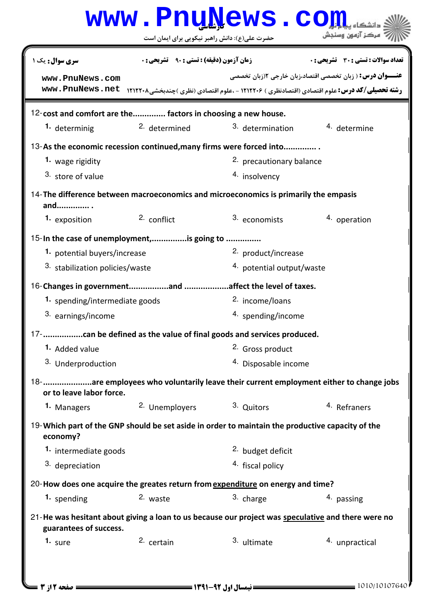|                                                                                                                              |                                                   | www.PnuNews.co                 |                                                                                                                                                                          |  |  |  |
|------------------------------------------------------------------------------------------------------------------------------|---------------------------------------------------|--------------------------------|--------------------------------------------------------------------------------------------------------------------------------------------------------------------------|--|--|--|
|                                                                                                                              | حضرت علی(ع): دانش راهبر نیکویی برای ایمان است     |                                | مركز آزمون وسنجش                                                                                                                                                         |  |  |  |
| <b>سری سوال :</b> یک ۱                                                                                                       | <b>زمان آزمون (دقیقه) : تستی : ۹۰٪ تشریحی : 0</b> |                                | تعداد سوالات : تستي : 30 ٪ تشريحي : 0                                                                                                                                    |  |  |  |
| www.PnuNews.com<br>www.PnuNews.net                                                                                           |                                                   |                                | <b>عنــــوان درس:</b> ( زبان تخصصي اقتصاد،زبان خارجي ٢(زبان تخصصي<br><b>رشته تحصیلی/کد درس:</b> علوم اقتصادی (اقتصادنظری ) ۱۲۱۲۲۰۶ - ،علوم اقتصادی (نظری )چندبخشی۱۲۱۲۲۰۸ |  |  |  |
| 12-cost and comfort are the factors in choosing a new house.                                                                 |                                                   |                                |                                                                                                                                                                          |  |  |  |
| 1. determinig                                                                                                                | <sup>2.</sup> determined                          | 3. determination               | 4. determine                                                                                                                                                             |  |  |  |
| 13-As the economic recession continued, many firms were forced into                                                          |                                                   |                                |                                                                                                                                                                          |  |  |  |
| 1. wage rigidity                                                                                                             |                                                   | 2. precautionary balance       |                                                                                                                                                                          |  |  |  |
| 3. store of value                                                                                                            |                                                   | 4. insolvency                  |                                                                                                                                                                          |  |  |  |
| 14-The difference between macroeconomics and microeconomics is primarily the empasis<br>and                                  |                                                   |                                |                                                                                                                                                                          |  |  |  |
| 1. exposition                                                                                                                | 2. conflict                                       | 3. economists                  | 4. operation                                                                                                                                                             |  |  |  |
| 15-In the case of unemployment,is going to                                                                                   |                                                   |                                |                                                                                                                                                                          |  |  |  |
| 1. potential buyers/increase                                                                                                 |                                                   | 2. product/increase            |                                                                                                                                                                          |  |  |  |
| 3. stabilization policies/waste                                                                                              |                                                   | 4. potential output/waste      |                                                                                                                                                                          |  |  |  |
|                                                                                                                              |                                                   |                                |                                                                                                                                                                          |  |  |  |
| 1. spending/intermediate goods                                                                                               |                                                   | <sup>2.</sup> income/loans     |                                                                                                                                                                          |  |  |  |
| 3. earnings/income                                                                                                           |                                                   | 4. spending/income             |                                                                                                                                                                          |  |  |  |
|                                                                                                                              |                                                   |                                |                                                                                                                                                                          |  |  |  |
| 1. Added value                                                                                                               |                                                   |                                | 2. Gross product                                                                                                                                                         |  |  |  |
| 3. Underproduction                                                                                                           |                                                   | <sup>4</sup> Disposable income |                                                                                                                                                                          |  |  |  |
| 18- are employees who voluntarily leave their current employment either to change jobs<br>or to leave labor force.           |                                                   |                                |                                                                                                                                                                          |  |  |  |
| 1. Managers                                                                                                                  | 2. Unemployers                                    | 3. Quitors                     | 4. Refraners                                                                                                                                                             |  |  |  |
| 19-Which part of the GNP should be set aside in order to maintain the productive capacity of the<br>economy?                 |                                                   |                                |                                                                                                                                                                          |  |  |  |
| 1. intermediate goods                                                                                                        |                                                   | <sup>2.</sup> budget deficit   |                                                                                                                                                                          |  |  |  |
| 3. depreciation                                                                                                              |                                                   | 4. fiscal policy               |                                                                                                                                                                          |  |  |  |
| 20-How does one acquire the greates return from expenditure on energy and time?                                              |                                                   |                                |                                                                                                                                                                          |  |  |  |
| 1. spending                                                                                                                  | 2. waste                                          | 3. charge                      | 4. passing                                                                                                                                                               |  |  |  |
| 21-He was hesitant about giving a loan to us because our project was speculative and there were no<br>guarantees of success. |                                                   |                                |                                                                                                                                                                          |  |  |  |
| 1. sure                                                                                                                      | 2. certain                                        | 3. ultimate                    | 4. unpractical                                                                                                                                                           |  |  |  |
|                                                                                                                              |                                                   |                                |                                                                                                                                                                          |  |  |  |